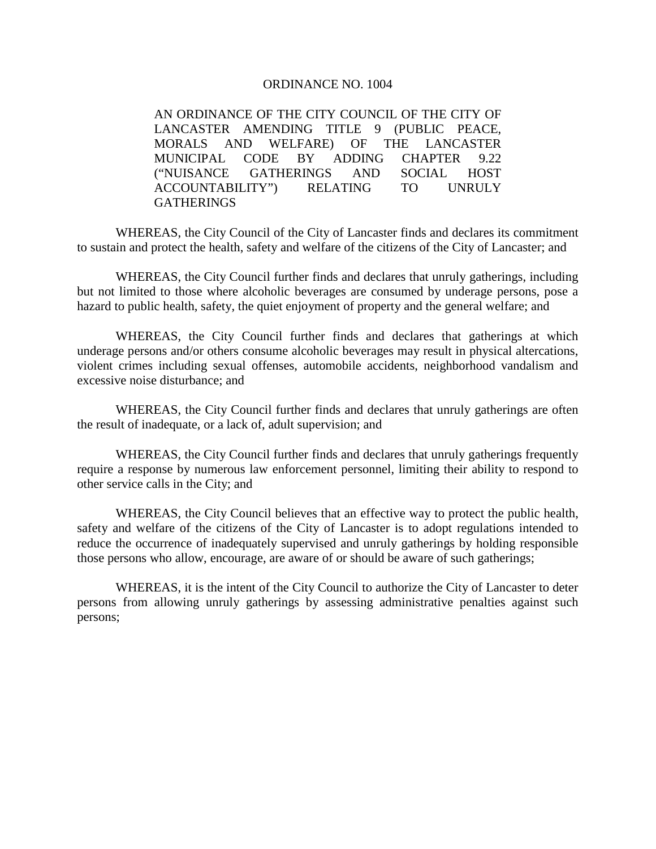#### ORDINANCE NO. 1004

AN ORDINANCE OF THE CITY COUNCIL OF THE CITY OF LANCASTER AMENDING TITLE 9 (PUBLIC PEACE, MORALS AND WELFARE) OF THE LANCASTER MUNICIPAL CODE BY ADDING CHAPTER 9.22 ("NUISANCE GATHERINGS AND SOCIAL HOST ACCOUNTABILITY") RELATING TO UNRULY **GATHERINGS** 

WHEREAS, the City Council of the City of Lancaster finds and declares its commitment to sustain and protect the health, safety and welfare of the citizens of the City of Lancaster; and

WHEREAS, the City Council further finds and declares that unruly gatherings, including but not limited to those where alcoholic beverages are consumed by underage persons, pose a hazard to public health, safety, the quiet enjoyment of property and the general welfare; and

WHEREAS, the City Council further finds and declares that gatherings at which underage persons and/or others consume alcoholic beverages may result in physical altercations, violent crimes including sexual offenses, automobile accidents, neighborhood vandalism and excessive noise disturbance; and

WHEREAS, the City Council further finds and declares that unruly gatherings are often the result of inadequate, or a lack of, adult supervision; and

WHEREAS, the City Council further finds and declares that unruly gatherings frequently require a response by numerous law enforcement personnel, limiting their ability to respond to other service calls in the City; and

WHEREAS, the City Council believes that an effective way to protect the public health, safety and welfare of the citizens of the City of Lancaster is to adopt regulations intended to reduce the occurrence of inadequately supervised and unruly gatherings by holding responsible those persons who allow, encourage, are aware of or should be aware of such gatherings;

WHEREAS, it is the intent of the City Council to authorize the City of Lancaster to deter persons from allowing unruly gatherings by assessing administrative penalties against such persons;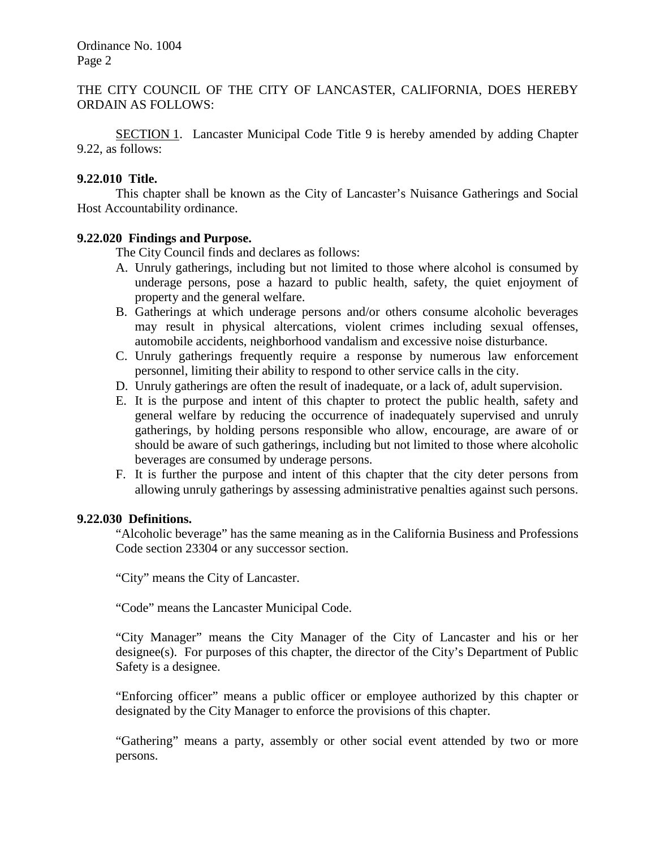Ordinance No. 1004 Page 2

THE CITY COUNCIL OF THE CITY OF LANCASTER, CALIFORNIA, DOES HEREBY ORDAIN AS FOLLOWS:

SECTION 1. Lancaster Municipal Code Title 9 is hereby amended by adding Chapter 9.22, as follows:

#### **9.22.010 Title.**

This chapter shall be known as the City of Lancaster's Nuisance Gatherings and Social Host Accountability ordinance.

#### **9.22.020 Findings and Purpose.**

The City Council finds and declares as follows:

- A. Unruly gatherings, including but not limited to those where alcohol is consumed by underage persons, pose a hazard to public health, safety, the quiet enjoyment of property and the general welfare.
- B. Gatherings at which underage persons and/or others consume alcoholic beverages may result in physical altercations, violent crimes including sexual offenses, automobile accidents, neighborhood vandalism and excessive noise disturbance.
- C. Unruly gatherings frequently require a response by numerous law enforcement personnel, limiting their ability to respond to other service calls in the city.
- D. Unruly gatherings are often the result of inadequate, or a lack of, adult supervision.
- E. It is the purpose and intent of this chapter to protect the public health, safety and general welfare by reducing the occurrence of inadequately supervised and unruly gatherings, by holding persons responsible who allow, encourage, are aware of or should be aware of such gatherings, including but not limited to those where alcoholic beverages are consumed by underage persons.
- F. It is further the purpose and intent of this chapter that the city deter persons from allowing unruly gatherings by assessing administrative penalties against such persons.

#### **9.22.030 Definitions.**

"Alcoholic beverage" has the same meaning as in the California Business and Professions Code section 23304 or any successor section.

"City" means the City of Lancaster.

"Code" means the Lancaster Municipal Code.

"City Manager" means the City Manager of the City of Lancaster and his or her designee(s). For purposes of this chapter, the director of the City's Department of Public Safety is a designee.

"Enforcing officer" means a public officer or employee authorized by this chapter or designated by the City Manager to enforce the provisions of this chapter.

"Gathering" means a party, assembly or other social event attended by two or more persons.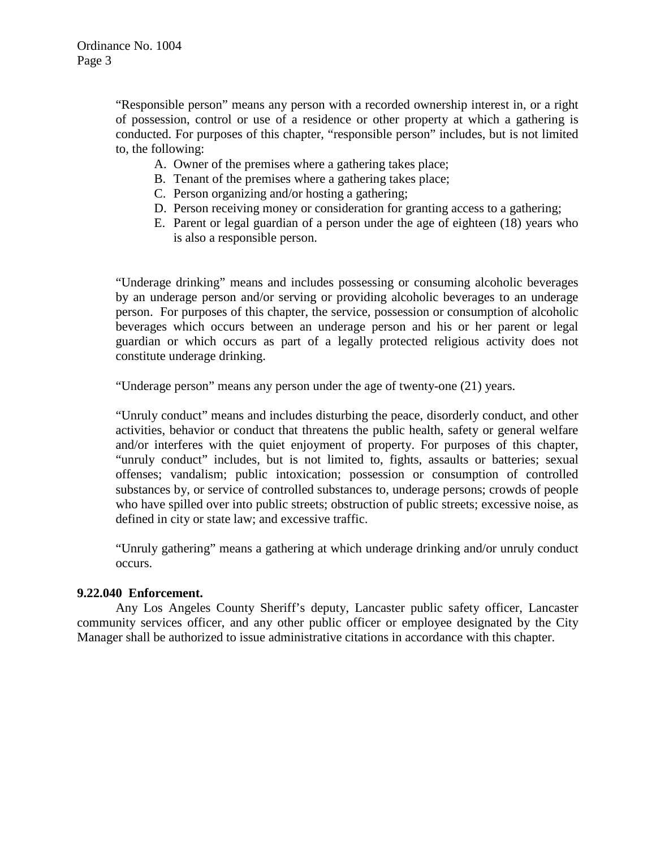"Responsible person" means any person with a recorded ownership interest in, or a right of possession, control or use of a residence or other property at which a gathering is conducted. For purposes of this chapter, "responsible person" includes, but is not limited to, the following:

- A. Owner of the premises where a gathering takes place;
- B. Tenant of the premises where a gathering takes place;
- C. Person organizing and/or hosting a gathering;
- D. Person receiving money or consideration for granting access to a gathering;
- E. Parent or legal guardian of a person under the age of eighteen (18) years who is also a responsible person.

"Underage drinking" means and includes possessing or consuming alcoholic beverages by an underage person and/or serving or providing alcoholic beverages to an underage person. For purposes of this chapter, the service, possession or consumption of alcoholic beverages which occurs between an underage person and his or her parent or legal guardian or which occurs as part of a legally protected religious activity does not constitute underage drinking.

"Underage person" means any person under the age of twenty-one (21) years.

"Unruly conduct" means and includes disturbing the peace, disorderly conduct, and other activities, behavior or conduct that threatens the public health, safety or general welfare and/or interferes with the quiet enjoyment of property. For purposes of this chapter, "unruly conduct" includes, but is not limited to, fights, assaults or batteries; sexual offenses; vandalism; public intoxication; possession or consumption of controlled substances by, or service of controlled substances to, underage persons; crowds of people who have spilled over into public streets; obstruction of public streets; excessive noise, as defined in city or state law; and excessive traffic.

"Unruly gathering" means a gathering at which underage drinking and/or unruly conduct occurs.

#### **9.22.040 Enforcement.**

Any Los Angeles County Sheriff's deputy, Lancaster public safety officer, Lancaster community services officer, and any other public officer or employee designated by the City Manager shall be authorized to issue administrative citations in accordance with this chapter.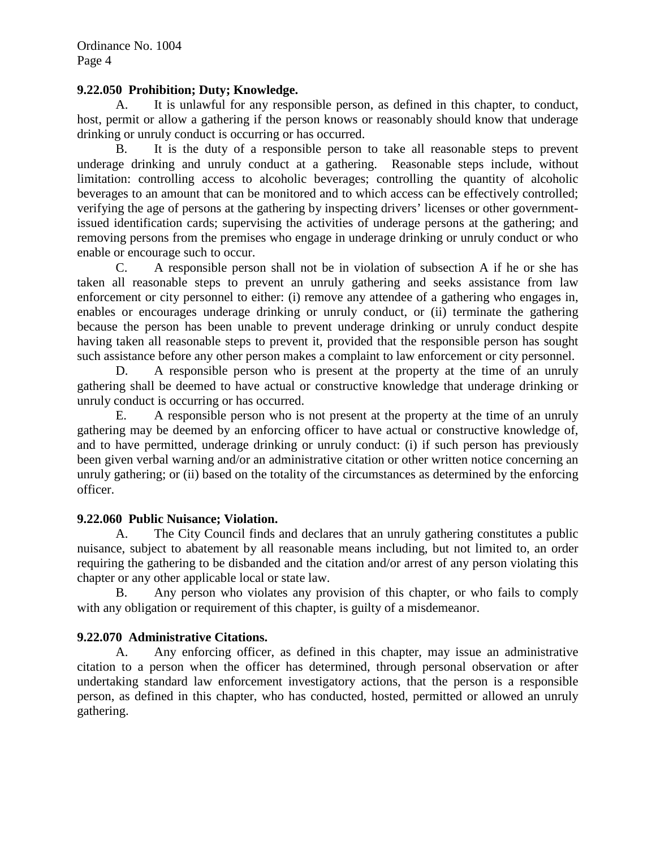### **9.22.050 Prohibition; Duty; Knowledge.**

A. It is unlawful for any responsible person, as defined in this chapter, to conduct, host, permit or allow a gathering if the person knows or reasonably should know that underage drinking or unruly conduct is occurring or has occurred.

B. It is the duty of a responsible person to take all reasonable steps to prevent underage drinking and unruly conduct at a gathering. Reasonable steps include, without limitation: controlling access to alcoholic beverages; controlling the quantity of alcoholic beverages to an amount that can be monitored and to which access can be effectively controlled; verifying the age of persons at the gathering by inspecting drivers' licenses or other governmentissued identification cards; supervising the activities of underage persons at the gathering; and removing persons from the premises who engage in underage drinking or unruly conduct or who enable or encourage such to occur.

C. A responsible person shall not be in violation of subsection A if he or she has taken all reasonable steps to prevent an unruly gathering and seeks assistance from law enforcement or city personnel to either: (i) remove any attendee of a gathering who engages in, enables or encourages underage drinking or unruly conduct, or (ii) terminate the gathering because the person has been unable to prevent underage drinking or unruly conduct despite having taken all reasonable steps to prevent it, provided that the responsible person has sought such assistance before any other person makes a complaint to law enforcement or city personnel.

D. A responsible person who is present at the property at the time of an unruly gathering shall be deemed to have actual or constructive knowledge that underage drinking or unruly conduct is occurring or has occurred.

E. A responsible person who is not present at the property at the time of an unruly gathering may be deemed by an enforcing officer to have actual or constructive knowledge of, and to have permitted, underage drinking or unruly conduct: (i) if such person has previously been given verbal warning and/or an administrative citation or other written notice concerning an unruly gathering; or (ii) based on the totality of the circumstances as determined by the enforcing officer.

## **9.22.060 Public Nuisance; Violation.**

A. The City Council finds and declares that an unruly gathering constitutes a public nuisance, subject to abatement by all reasonable means including, but not limited to, an order requiring the gathering to be disbanded and the citation and/or arrest of any person violating this chapter or any other applicable local or state law.

B. Any person who violates any provision of this chapter, or who fails to comply with any obligation or requirement of this chapter, is guilty of a misdemeanor.

## **9.22.070 Administrative Citations.**

A. Any enforcing officer, as defined in this chapter, may issue an administrative citation to a person when the officer has determined, through personal observation or after undertaking standard law enforcement investigatory actions, that the person is a responsible person, as defined in this chapter, who has conducted, hosted, permitted or allowed an unruly gathering.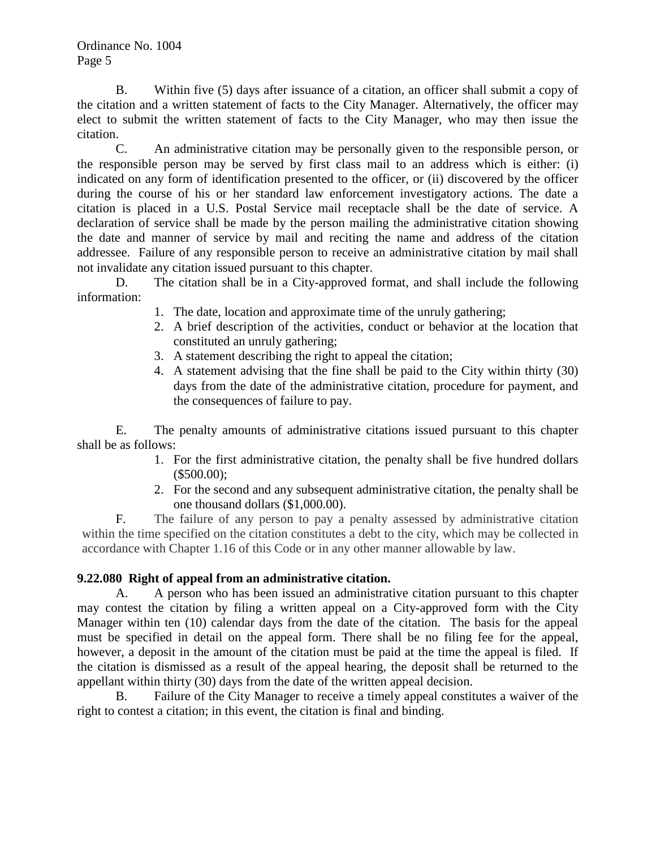B. Within five (5) days after issuance of a citation, an officer shall submit a copy of the citation and a written statement of facts to the City Manager. Alternatively, the officer may elect to submit the written statement of facts to the City Manager, who may then issue the citation.

C. An administrative citation may be personally given to the responsible person, or the responsible person may be served by first class mail to an address which is either: (i) indicated on any form of identification presented to the officer, or (ii) discovered by the officer during the course of his or her standard law enforcement investigatory actions. The date a citation is placed in a U.S. Postal Service mail receptacle shall be the date of service. A declaration of service shall be made by the person mailing the administrative citation showing the date and manner of service by mail and reciting the name and address of the citation addressee. Failure of any responsible person to receive an administrative citation by mail shall not invalidate any citation issued pursuant to this chapter.

D. The citation shall be in a City-approved format, and shall include the following information:

- 1. The date, location and approximate time of the unruly gathering;
- 2. A brief description of the activities, conduct or behavior at the location that constituted an unruly gathering;
- 3. A statement describing the right to appeal the citation;
- 4. A statement advising that the fine shall be paid to the City within thirty (30) days from the date of the administrative citation, procedure for payment, and the consequences of failure to pay.

E. The penalty amounts of administrative citations issued pursuant to this chapter shall be as follows:

- 1. For the first administrative citation, the penalty shall be five hundred dollars (\$500.00);
- 2. For the second and any subsequent administrative citation, the penalty shall be one thousand dollars (\$1,000.00).

F. The failure of any person to pay a penalty assessed by administrative citation within the time specified on the citation constitutes a debt to the city, which may be collected in accordance with Chapter 1.16 of this Code or in any other manner allowable by law.

# **9.22.080 Right of appeal from an administrative citation.**

A. A person who has been issued an administrative citation pursuant to this chapter may contest the citation by filing a written appeal on a City-approved form with the City Manager within ten (10) calendar days from the date of the citation. The basis for the appeal must be specified in detail on the appeal form. There shall be no filing fee for the appeal, however, a deposit in the amount of the citation must be paid at the time the appeal is filed. If the citation is dismissed as a result of the appeal hearing, the deposit shall be returned to the appellant within thirty (30) days from the date of the written appeal decision.

B. Failure of the City Manager to receive a timely appeal constitutes a waiver of the right to contest a citation; in this event, the citation is final and binding.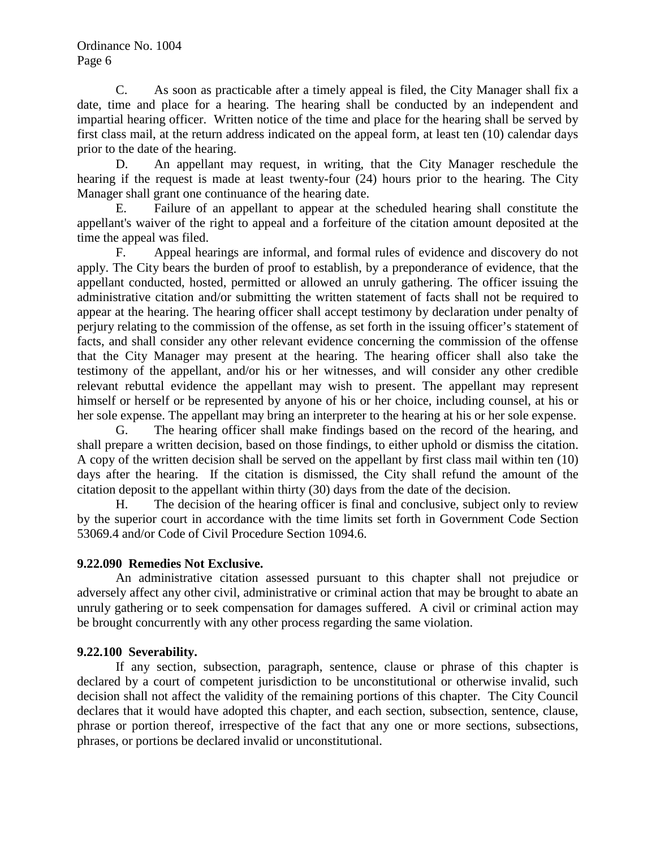C. As soon as practicable after a timely appeal is filed, the City Manager shall fix a date, time and place for a hearing. The hearing shall be conducted by an independent and impartial hearing officer. Written notice of the time and place for the hearing shall be served by first class mail, at the return address indicated on the appeal form, at least ten (10) calendar days prior to the date of the hearing.

D. An appellant may request, in writing, that the City Manager reschedule the hearing if the request is made at least twenty-four (24) hours prior to the hearing. The City Manager shall grant one continuance of the hearing date.

E. Failure of an appellant to appear at the scheduled hearing shall constitute the appellant's waiver of the right to appeal and a forfeiture of the citation amount deposited at the time the appeal was filed.

F. Appeal hearings are informal, and formal rules of evidence and discovery do not apply. The City bears the burden of proof to establish, by a preponderance of evidence, that the appellant conducted, hosted, permitted or allowed an unruly gathering. The officer issuing the administrative citation and/or submitting the written statement of facts shall not be required to appear at the hearing. The hearing officer shall accept testimony by declaration under penalty of perjury relating to the commission of the offense, as set forth in the issuing officer's statement of facts, and shall consider any other relevant evidence concerning the commission of the offense that the City Manager may present at the hearing. The hearing officer shall also take the testimony of the appellant, and/or his or her witnesses, and will consider any other credible relevant rebuttal evidence the appellant may wish to present. The appellant may represent himself or herself or be represented by anyone of his or her choice, including counsel, at his or her sole expense. The appellant may bring an interpreter to the hearing at his or her sole expense.

G. The hearing officer shall make findings based on the record of the hearing, and shall prepare a written decision, based on those findings, to either uphold or dismiss the citation. A copy of the written decision shall be served on the appellant by first class mail within ten (10) days after the hearing. If the citation is dismissed, the City shall refund the amount of the citation deposit to the appellant within thirty (30) days from the date of the decision.

H. The decision of the hearing officer is final and conclusive, subject only to review by the superior court in accordance with the time limits set forth in Government Code Section 53069.4 and/or Code of Civil Procedure Section 1094.6.

## **9.22.090 Remedies Not Exclusive.**

An administrative citation assessed pursuant to this chapter shall not prejudice or adversely affect any other civil, administrative or criminal action that may be brought to abate an unruly gathering or to seek compensation for damages suffered. A civil or criminal action may be brought concurrently with any other process regarding the same violation.

# **9.22.100 Severability.**

If any section, subsection, paragraph, sentence, clause or phrase of this chapter is declared by a court of competent jurisdiction to be unconstitutional or otherwise invalid, such decision shall not affect the validity of the remaining portions of this chapter. The City Council declares that it would have adopted this chapter, and each section, subsection, sentence, clause, phrase or portion thereof, irrespective of the fact that any one or more sections, subsections, phrases, or portions be declared invalid or unconstitutional.